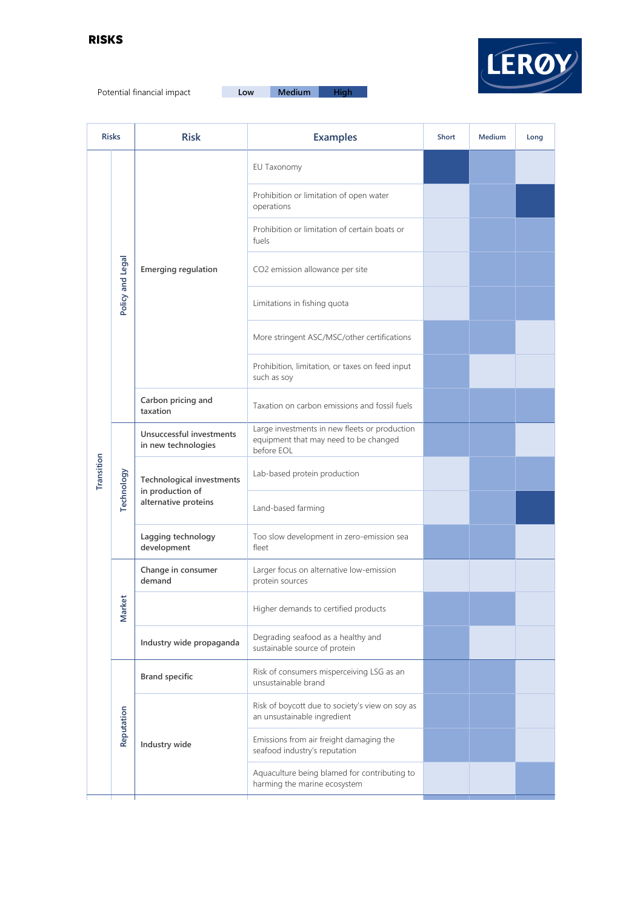

Potential financial impact **Low Medium High**

| <b>Risks</b> |                  | <b>Risk</b>                                                                  | <b>Examples</b>                                                                                      | Short | Medium | Long |
|--------------|------------------|------------------------------------------------------------------------------|------------------------------------------------------------------------------------------------------|-------|--------|------|
| Transition   | Policy and Legal | <b>Emerging regulation</b>                                                   | EU Taxonomy                                                                                          |       |        |      |
|              |                  |                                                                              | Prohibition or limitation of open water<br>operations                                                |       |        |      |
|              |                  |                                                                              | Prohibition or limitation of certain boats or<br>fuels                                               |       |        |      |
|              |                  |                                                                              | CO2 emission allowance per site                                                                      |       |        |      |
|              |                  |                                                                              | Limitations in fishing quota                                                                         |       |        |      |
|              |                  |                                                                              | More stringent ASC/MSC/other certifications                                                          |       |        |      |
|              |                  |                                                                              | Prohibition, limitation, or taxes on feed input<br>such as soy                                       |       |        |      |
|              |                  | Carbon pricing and<br>taxation                                               | Taxation on carbon emissions and fossil fuels                                                        |       |        |      |
|              | Technology       | Unsuccessful investments<br>in new technologies                              | Large investments in new fleets or production<br>equipment that may need to be changed<br>before EOL |       |        |      |
|              |                  | <b>Technological investments</b><br>in production of<br>alternative proteins | Lab-based protein production                                                                         |       |        |      |
|              |                  |                                                                              | Land-based farming                                                                                   |       |        |      |
|              |                  | Lagging technology<br>development                                            | Too slow development in zero-emission sea<br>fleet                                                   |       |        |      |
|              | ket<br>Nar       | Change in consumer<br>demand                                                 | Larger focus on alternative low-emission<br>protein sources                                          |       |        |      |
|              |                  |                                                                              | Higher demands to certified products                                                                 |       |        |      |
|              |                  | Industry wide propaganda                                                     | Degrading seafood as a healthy and<br>sustainable source of protein                                  |       |        |      |
|              | Reputation       | <b>Brand specific</b>                                                        | Risk of consumers misperceiving LSG as an<br>unsustainable brand                                     |       |        |      |
|              |                  | Industry wide                                                                | Risk of boycott due to society's view on soy as<br>an unsustainable ingredient                       |       |        |      |
|              |                  |                                                                              | Emissions from air freight damaging the<br>seafood industry's reputation                             |       |        |      |
|              |                  |                                                                              | Aquaculture being blamed for contributing to<br>harming the marine ecosystem                         |       |        |      |
|              |                  |                                                                              |                                                                                                      |       |        |      |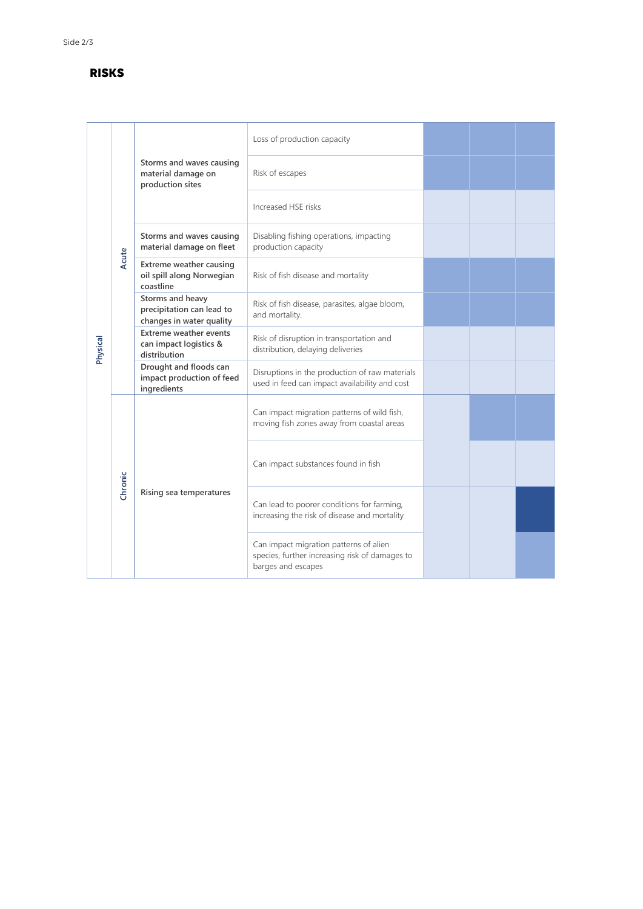## **RISKS**

| Physical | Acute   | Storms and waves causing<br>material damage on<br>production sites        | Loss of production capacity                                                                                    |  |  |
|----------|---------|---------------------------------------------------------------------------|----------------------------------------------------------------------------------------------------------------|--|--|
|          |         |                                                                           | Risk of escapes                                                                                                |  |  |
|          |         |                                                                           | Increased HSE risks                                                                                            |  |  |
|          |         | Storms and waves causing<br>material damage on fleet                      | Disabling fishing operations, impacting<br>production capacity                                                 |  |  |
|          |         | <b>Extreme weather causing</b><br>oil spill along Norwegian<br>coastline  | Risk of fish disease and mortality                                                                             |  |  |
|          |         | Storms and heavy<br>precipitation can lead to<br>changes in water quality | Risk of fish disease, parasites, algae bloom,<br>and mortality.                                                |  |  |
|          |         | <b>Extreme weather events</b><br>can impact logistics &<br>distribution   | Risk of disruption in transportation and<br>distribution, delaying deliveries                                  |  |  |
|          |         | Drought and floods can<br>impact production of feed<br>ingredients        | Disruptions in the production of raw materials<br>used in feed can impact availability and cost                |  |  |
|          | Chronic | Rising sea temperatures                                                   | Can impact migration patterns of wild fish,<br>moving fish zones away from coastal areas                       |  |  |
|          |         |                                                                           | Can impact substances found in fish                                                                            |  |  |
|          |         |                                                                           | Can lead to poorer conditions for farming,<br>increasing the risk of disease and mortality                     |  |  |
|          |         |                                                                           | Can impact migration patterns of alien<br>species, further increasing risk of damages to<br>barges and escapes |  |  |